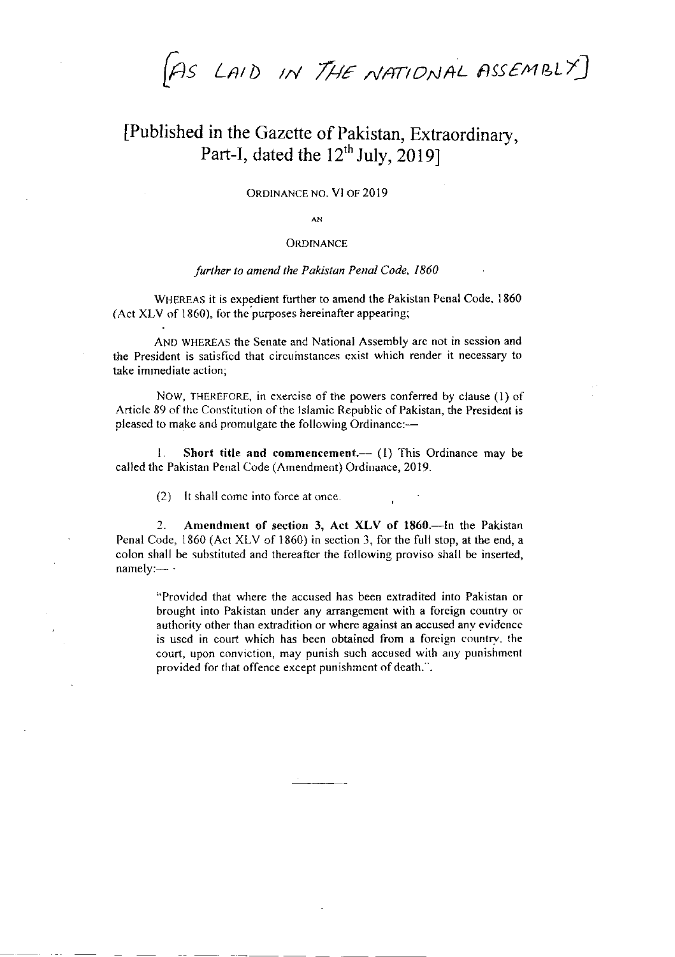$[As$  LAID IN THE NATIONAL ASSEMBLY]

# [Published in the Gazette of Pakistan, Extraordinary, Part-I, dated the  $12^{th}$  July, 2019]

#### ORDINANCE NO. VI OF 2019

 $AN$ 

#### **ORDINANCE**

#### further to amend the Pakistan Penal Code, 1860

WHEREAS it is expedient further to amend the Pakistan Penal Code, 1860 (Act XLV of 1860). for the purposes hereinafter appearing;

AND WHEREAS the Senate and National Assembly are not in session and the Presidcnt is satisficd that circumstances cxist which render it necessary to take immediate action;

NOW, THEREFORE, in exercise of the powers conferred by clause (1) of Article 89 of the Constitution of the Islamic Republic of Pakistan, the President is pleased to make and promulgate the following Ordinance:-

1. Short title and commencement.-- (1) This Ordinance may be called the Pakistan Penal Code (Amendment) Ordinance,20l9.

 $(2)$  It shall come into force at once.

2. Amendment of section 3, Act XLV of 1860.-- In the Pakistan Penal Code, 1860 (Act XLV of 1860) in section 3, for the full stop, at the end, a colon shall be substituted and thereaftcr the following proviso shall be inserted, namely: $-$ 

"Provided that where the accused has been extradited into Pakistan or brought into Pakistan under any arrangement with a foreign country or authority other than extradition or where againsr an accused anv evidcncc is used in court which has been obtained from a foreign country, the court, upon conviction, may punish such accused with any punishment provided for that offence except punishment of death.".